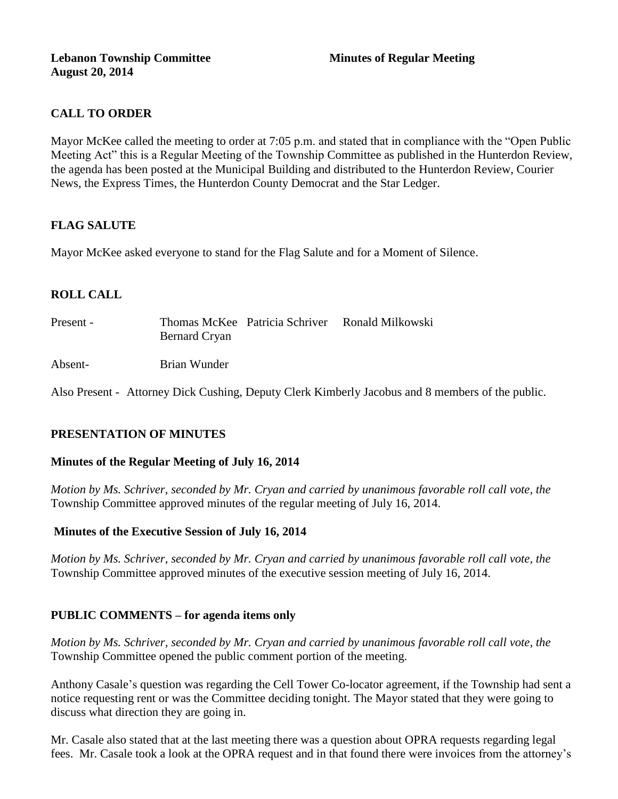# **CALL TO ORDER**

Mayor McKee called the meeting to order at 7:05 p.m. and stated that in compliance with the "Open Public Meeting Act" this is a Regular Meeting of the Township Committee as published in the Hunterdon Review, the agenda has been posted at the Municipal Building and distributed to the Hunterdon Review, Courier News, the Express Times, the Hunterdon County Democrat and the Star Ledger.

# **FLAG SALUTE**

Mayor McKee asked everyone to stand for the Flag Salute and for a Moment of Silence.

# **ROLL CALL**

| Present - | Bernard Cryan | Thomas McKee Patricia Schriver Ronald Milkowski |
|-----------|---------------|-------------------------------------------------|
| Absent-   | Brian Wunder  |                                                 |

Also Present - Attorney Dick Cushing, Deputy Clerk Kimberly Jacobus and 8 members of the public.

# **PRESENTATION OF MINUTES**

# **Minutes of the Regular Meeting of July 16, 2014**

*Motion by Ms. Schriver, seconded by Mr. Cryan and carried by unanimous favorable roll call vote, the*  Township Committee approved minutes of the regular meeting of July 16, 2014.

# **Minutes of the Executive Session of July 16, 2014**

*Motion by Ms. Schriver, seconded by Mr. Cryan and carried by unanimous favorable roll call vote, the*  Township Committee approved minutes of the executive session meeting of July 16, 2014.

# **PUBLIC COMMENTS – for agenda items only**

*Motion by Ms. Schriver, seconded by Mr. Cryan and carried by unanimous favorable roll call vote, the*  Township Committee opened the public comment portion of the meeting.

Anthony Casale's question was regarding the Cell Tower Co-locator agreement, if the Township had sent a notice requesting rent or was the Committee deciding tonight. The Mayor stated that they were going to discuss what direction they are going in.

Mr. Casale also stated that at the last meeting there was a question about OPRA requests regarding legal fees. Mr. Casale took a look at the OPRA request and in that found there were invoices from the attorney's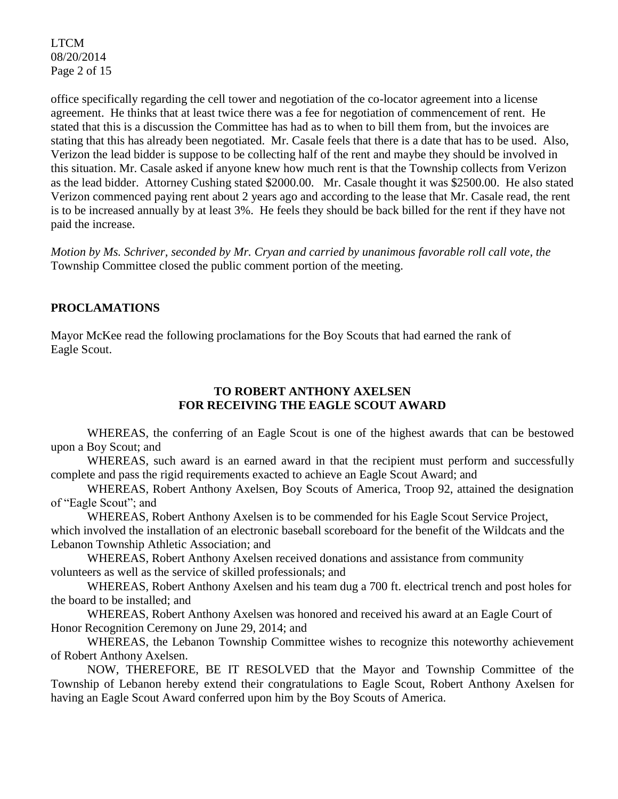LTCM 08/20/2014 Page 2 of 15

office specifically regarding the cell tower and negotiation of the co-locator agreement into a license agreement. He thinks that at least twice there was a fee for negotiation of commencement of rent. He stated that this is a discussion the Committee has had as to when to bill them from, but the invoices are stating that this has already been negotiated. Mr. Casale feels that there is a date that has to be used. Also, Verizon the lead bidder is suppose to be collecting half of the rent and maybe they should be involved in this situation. Mr. Casale asked if anyone knew how much rent is that the Township collects from Verizon as the lead bidder. Attorney Cushing stated \$2000.00. Mr. Casale thought it was \$2500.00. He also stated Verizon commenced paying rent about 2 years ago and according to the lease that Mr. Casale read, the rent is to be increased annually by at least 3%. He feels they should be back billed for the rent if they have not paid the increase.

*Motion by Ms. Schriver, seconded by Mr. Cryan and carried by unanimous favorable roll call vote, the*  Township Committee closed the public comment portion of the meeting.

# **PROCLAMATIONS**

Mayor McKee read the following proclamations for the Boy Scouts that had earned the rank of Eagle Scout.

## **TO ROBERT ANTHONY AXELSEN FOR RECEIVING THE EAGLE SCOUT AWARD**

WHEREAS, the conferring of an Eagle Scout is one of the highest awards that can be bestowed upon a Boy Scout; and

WHEREAS, such award is an earned award in that the recipient must perform and successfully complete and pass the rigid requirements exacted to achieve an Eagle Scout Award; and

WHEREAS, Robert Anthony Axelsen, Boy Scouts of America, Troop 92, attained the designation of "Eagle Scout"; and

WHEREAS, Robert Anthony Axelsen is to be commended for his Eagle Scout Service Project, which involved the installation of an electronic baseball scoreboard for the benefit of the Wildcats and the Lebanon Township Athletic Association; and

WHEREAS, Robert Anthony Axelsen received donations and assistance from community volunteers as well as the service of skilled professionals; and

WHEREAS, Robert Anthony Axelsen and his team dug a 700 ft. electrical trench and post holes for the board to be installed; and

WHEREAS, Robert Anthony Axelsen was honored and received his award at an Eagle Court of Honor Recognition Ceremony on June 29, 2014; and

WHEREAS, the Lebanon Township Committee wishes to recognize this noteworthy achievement of Robert Anthony Axelsen.

NOW, THEREFORE, BE IT RESOLVED that the Mayor and Township Committee of the Township of Lebanon hereby extend their congratulations to Eagle Scout, Robert Anthony Axelsen for having an Eagle Scout Award conferred upon him by the Boy Scouts of America.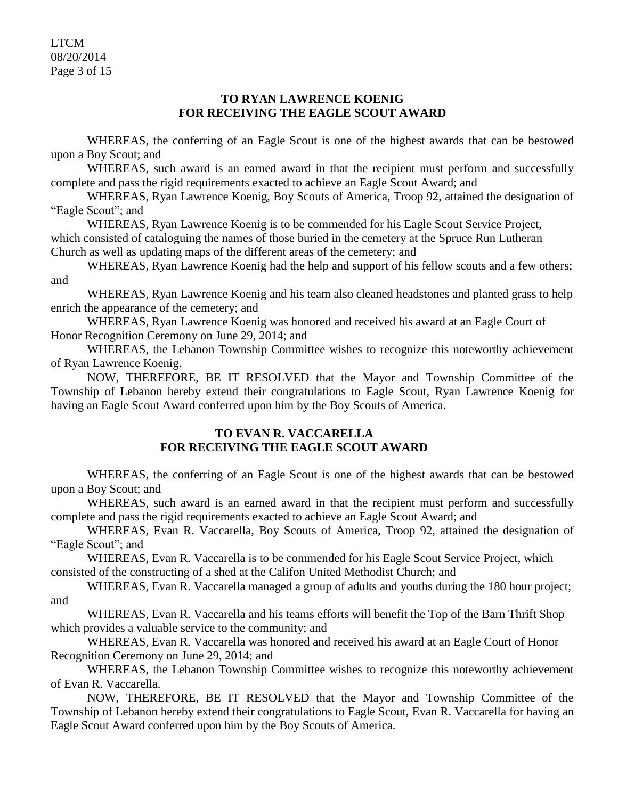LTCM 08/20/2014 Page 3 of 15

## **TO RYAN LAWRENCE KOENIG FOR RECEIVING THE EAGLE SCOUT AWARD**

WHEREAS, the conferring of an Eagle Scout is one of the highest awards that can be bestowed upon a Boy Scout; and

WHEREAS, such award is an earned award in that the recipient must perform and successfully complete and pass the rigid requirements exacted to achieve an Eagle Scout Award; and

WHEREAS, Ryan Lawrence Koenig, Boy Scouts of America, Troop 92, attained the designation of "Eagle Scout"; and

WHEREAS, Ryan Lawrence Koenig is to be commended for his Eagle Scout Service Project, which consisted of cataloguing the names of those buried in the cemetery at the Spruce Run Lutheran Church as well as updating maps of the different areas of the cemetery; and

WHEREAS, Ryan Lawrence Koenig had the help and support of his fellow scouts and a few others; and

WHEREAS, Ryan Lawrence Koenig and his team also cleaned headstones and planted grass to help enrich the appearance of the cemetery; and

WHEREAS, Ryan Lawrence Koenig was honored and received his award at an Eagle Court of Honor Recognition Ceremony on June 29, 2014; and

WHEREAS, the Lebanon Township Committee wishes to recognize this noteworthy achievement of Ryan Lawrence Koenig.

NOW, THEREFORE, BE IT RESOLVED that the Mayor and Township Committee of the Township of Lebanon hereby extend their congratulations to Eagle Scout, Ryan Lawrence Koenig for having an Eagle Scout Award conferred upon him by the Boy Scouts of America.

# **TO EVAN R. VACCARELLA FOR RECEIVING THE EAGLE SCOUT AWARD**

WHEREAS, the conferring of an Eagle Scout is one of the highest awards that can be bestowed upon a Boy Scout; and

WHEREAS, such award is an earned award in that the recipient must perform and successfully complete and pass the rigid requirements exacted to achieve an Eagle Scout Award; and

WHEREAS, Evan R. Vaccarella, Boy Scouts of America, Troop 92, attained the designation of "Eagle Scout"; and

WHEREAS, Evan R. Vaccarella is to be commended for his Eagle Scout Service Project, which consisted of the constructing of a shed at the Califon United Methodist Church; and

WHEREAS, Evan R. Vaccarella managed a group of adults and youths during the 180 hour project; and

WHEREAS, Evan R. Vaccarella and his teams efforts will benefit the Top of the Barn Thrift Shop which provides a valuable service to the community; and

WHEREAS, Evan R. Vaccarella was honored and received his award at an Eagle Court of Honor Recognition Ceremony on June 29, 2014; and

WHEREAS, the Lebanon Township Committee wishes to recognize this noteworthy achievement of Evan R. Vaccarella.

NOW, THEREFORE, BE IT RESOLVED that the Mayor and Township Committee of the Township of Lebanon hereby extend their congratulations to Eagle Scout, Evan R. Vaccarella for having an Eagle Scout Award conferred upon him by the Boy Scouts of America.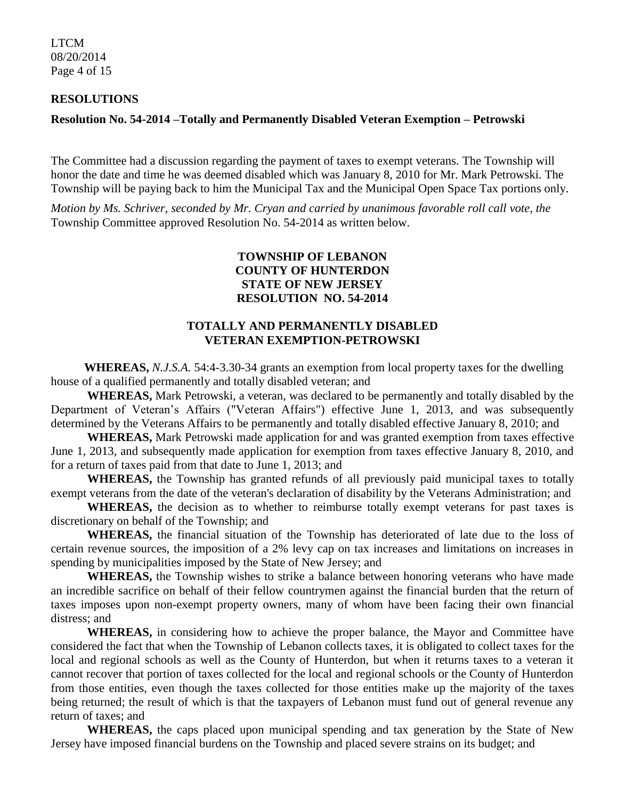LTCM 08/20/2014 Page 4 of 15

#### **RESOLUTIONS**

#### **Resolution No. 54-2014 –Totally and Permanently Disabled Veteran Exemption – Petrowski**

The Committee had a discussion regarding the payment of taxes to exempt veterans. The Township will honor the date and time he was deemed disabled which was January 8, 2010 for Mr. Mark Petrowski. The Township will be paying back to him the Municipal Tax and the Municipal Open Space Tax portions only.

*Motion by Ms. Schriver, seconded by Mr. Cryan and carried by unanimous favorable roll call vote, the* Township Committee approved Resolution No. 54-2014 as written below.

## **TOWNSHIP OF LEBANON COUNTY OF HUNTERDON STATE OF NEW JERSEY RESOLUTION NO. 54-2014**

### **TOTALLY AND PERMANENTLY DISABLED VETERAN EXEMPTION-PETROWSKI**

 **WHEREAS,** *N.J.S.A.* 54:4-3.30-34 grants an exemption from local property taxes for the dwelling house of a qualified permanently and totally disabled veteran; and

**WHEREAS,** Mark Petrowski, a veteran, was declared to be permanently and totally disabled by the Department of Veteran's Affairs ("Veteran Affairs") effective June 1, 2013, and was subsequently determined by the Veterans Affairs to be permanently and totally disabled effective January 8, 2010; and

**WHEREAS,** Mark Petrowski made application for and was granted exemption from taxes effective June 1, 2013, and subsequently made application for exemption from taxes effective January 8, 2010, and for a return of taxes paid from that date to June 1, 2013; and

**WHEREAS,** the Township has granted refunds of all previously paid municipal taxes to totally exempt veterans from the date of the veteran's declaration of disability by the Veterans Administration; and

**WHEREAS,** the decision as to whether to reimburse totally exempt veterans for past taxes is discretionary on behalf of the Township; and

**WHEREAS,** the financial situation of the Township has deteriorated of late due to the loss of certain revenue sources, the imposition of a 2% levy cap on tax increases and limitations on increases in spending by municipalities imposed by the State of New Jersey; and

**WHEREAS,** the Township wishes to strike a balance between honoring veterans who have made an incredible sacrifice on behalf of their fellow countrymen against the financial burden that the return of taxes imposes upon non-exempt property owners, many of whom have been facing their own financial distress; and

**WHEREAS,** in considering how to achieve the proper balance, the Mayor and Committee have considered the fact that when the Township of Lebanon collects taxes, it is obligated to collect taxes for the local and regional schools as well as the County of Hunterdon, but when it returns taxes to a veteran it cannot recover that portion of taxes collected for the local and regional schools or the County of Hunterdon from those entities, even though the taxes collected for those entities make up the majority of the taxes being returned; the result of which is that the taxpayers of Lebanon must fund out of general revenue any return of taxes; and

**WHEREAS,** the caps placed upon municipal spending and tax generation by the State of New Jersey have imposed financial burdens on the Township and placed severe strains on its budget; and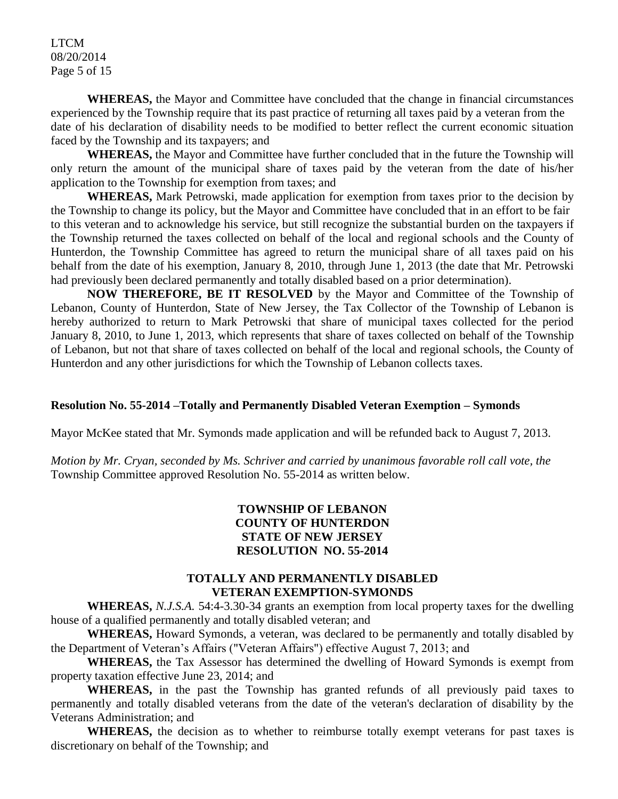LTCM 08/20/2014 Page 5 of 15

**WHEREAS,** the Mayor and Committee have concluded that the change in financial circumstances experienced by the Township require that its past practice of returning all taxes paid by a veteran from the date of his declaration of disability needs to be modified to better reflect the current economic situation faced by the Township and its taxpayers; and

**WHEREAS,** the Mayor and Committee have further concluded that in the future the Township will only return the amount of the municipal share of taxes paid by the veteran from the date of his/her application to the Township for exemption from taxes; and

**WHEREAS,** Mark Petrowski, made application for exemption from taxes prior to the decision by the Township to change its policy, but the Mayor and Committee have concluded that in an effort to be fair to this veteran and to acknowledge his service, but still recognize the substantial burden on the taxpayers if the Township returned the taxes collected on behalf of the local and regional schools and the County of Hunterdon, the Township Committee has agreed to return the municipal share of all taxes paid on his behalf from the date of his exemption, January 8, 2010, through June 1, 2013 (the date that Mr. Petrowski had previously been declared permanently and totally disabled based on a prior determination).

**NOW THEREFORE, BE IT RESOLVED** by the Mayor and Committee of the Township of Lebanon, County of Hunterdon, State of New Jersey, the Tax Collector of the Township of Lebanon is hereby authorized to return to Mark Petrowski that share of municipal taxes collected for the period January 8, 2010, to June 1, 2013, which represents that share of taxes collected on behalf of the Township of Lebanon, but not that share of taxes collected on behalf of the local and regional schools, the County of Hunterdon and any other jurisdictions for which the Township of Lebanon collects taxes.

#### **Resolution No. 55-2014 –Totally and Permanently Disabled Veteran Exemption – Symonds**

Mayor McKee stated that Mr. Symonds made application and will be refunded back to August 7, 2013.

*Motion by Mr. Cryan, seconded by Ms. Schriver and carried by unanimous favorable roll call vote, the* Township Committee approved Resolution No. 55-2014 as written below.

### **TOWNSHIP OF LEBANON COUNTY OF HUNTERDON STATE OF NEW JERSEY RESOLUTION NO. 55-2014**

#### **TOTALLY AND PERMANENTLY DISABLED VETERAN EXEMPTION-SYMONDS**

**WHEREAS,** *N.J.S.A.* 54:4-3.30-34 grants an exemption from local property taxes for the dwelling house of a qualified permanently and totally disabled veteran; and

**WHEREAS,** Howard Symonds, a veteran, was declared to be permanently and totally disabled by the Department of Veteran's Affairs ("Veteran Affairs") effective August 7, 2013; and

**WHEREAS,** the Tax Assessor has determined the dwelling of Howard Symonds is exempt from property taxation effective June 23, 2014; and

**WHEREAS,** in the past the Township has granted refunds of all previously paid taxes to permanently and totally disabled veterans from the date of the veteran's declaration of disability by the Veterans Administration; and

**WHEREAS,** the decision as to whether to reimburse totally exempt veterans for past taxes is discretionary on behalf of the Township; and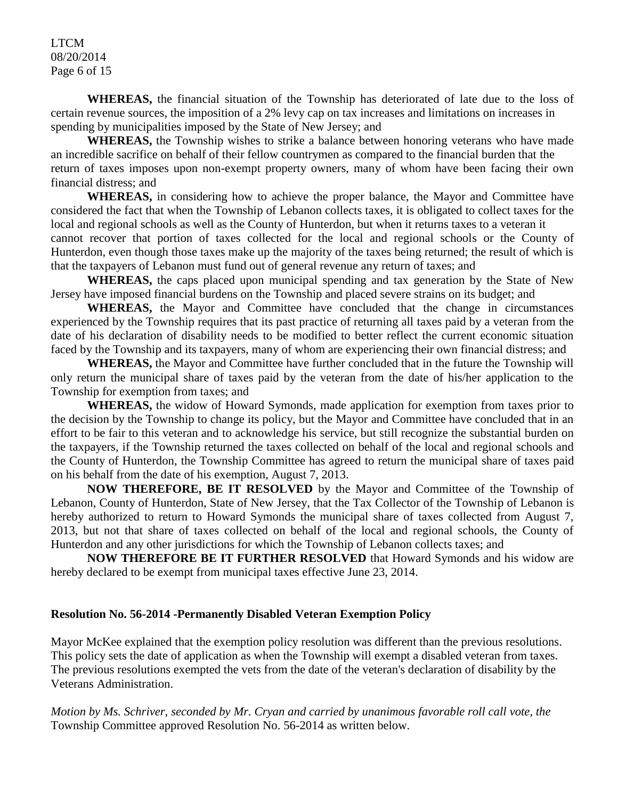LTCM 08/20/2014 Page 6 of 15

**WHEREAS,** the financial situation of the Township has deteriorated of late due to the loss of certain revenue sources, the imposition of a 2% levy cap on tax increases and limitations on increases in spending by municipalities imposed by the State of New Jersey; and

**WHEREAS,** the Township wishes to strike a balance between honoring veterans who have made an incredible sacrifice on behalf of their fellow countrymen as compared to the financial burden that the return of taxes imposes upon non-exempt property owners, many of whom have been facing their own financial distress; and

**WHEREAS,** in considering how to achieve the proper balance, the Mayor and Committee have considered the fact that when the Township of Lebanon collects taxes, it is obligated to collect taxes for the local and regional schools as well as the County of Hunterdon, but when it returns taxes to a veteran it cannot recover that portion of taxes collected for the local and regional schools or the County of Hunterdon, even though those taxes make up the majority of the taxes being returned; the result of which is that the taxpayers of Lebanon must fund out of general revenue any return of taxes; and

**WHEREAS,** the caps placed upon municipal spending and tax generation by the State of New Jersey have imposed financial burdens on the Township and placed severe strains on its budget; and

WHEREAS, the Mayor and Committee have concluded that the change in circumstances experienced by the Township requires that its past practice of returning all taxes paid by a veteran from the date of his declaration of disability needs to be modified to better reflect the current economic situation faced by the Township and its taxpayers, many of whom are experiencing their own financial distress; and

**WHEREAS,** the Mayor and Committee have further concluded that in the future the Township will only return the municipal share of taxes paid by the veteran from the date of his/her application to the Township for exemption from taxes; and

**WHEREAS,** the widow of Howard Symonds, made application for exemption from taxes prior to the decision by the Township to change its policy, but the Mayor and Committee have concluded that in an effort to be fair to this veteran and to acknowledge his service, but still recognize the substantial burden on the taxpayers, if the Township returned the taxes collected on behalf of the local and regional schools and the County of Hunterdon, the Township Committee has agreed to return the municipal share of taxes paid on his behalf from the date of his exemption, August 7, 2013.

**NOW THEREFORE, BE IT RESOLVED** by the Mayor and Committee of the Township of Lebanon, County of Hunterdon, State of New Jersey, that the Tax Collector of the Township of Lebanon is hereby authorized to return to Howard Symonds the municipal share of taxes collected from August 7, 2013, but not that share of taxes collected on behalf of the local and regional schools, the County of Hunterdon and any other jurisdictions for which the Township of Lebanon collects taxes; and

**NOW THEREFORE BE IT FURTHER RESOLVED** that Howard Symonds and his widow are hereby declared to be exempt from municipal taxes effective June 23, 2014.

#### **Resolution No. 56-2014 -Permanently Disabled Veteran Exemption Policy**

Mayor McKee explained that the exemption policy resolution was different than the previous resolutions. This policy sets the date of application as when the Township will exempt a disabled veteran from taxes. The previous resolutions exempted the vets from the date of the veteran's declaration of disability by the Veterans Administration.

*Motion by Ms. Schriver, seconded by Mr. Cryan and carried by unanimous favorable roll call vote, the* Township Committee approved Resolution No. 56-2014 as written below.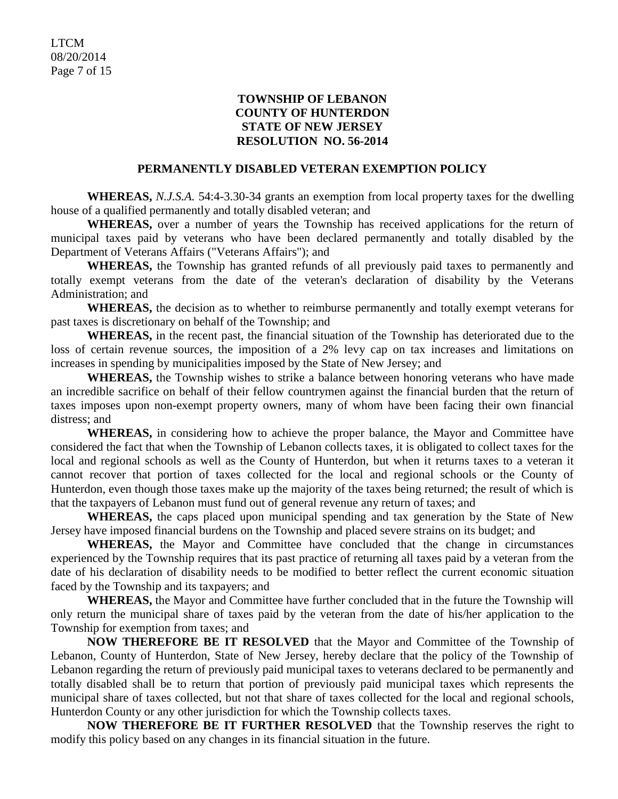### **TOWNSHIP OF LEBANON COUNTY OF HUNTERDON STATE OF NEW JERSEY RESOLUTION NO. 56-2014**

#### **PERMANENTLY DISABLED VETERAN EXEMPTION POLICY**

**WHEREAS,** *N.J.S.A.* 54:4-3.30-34 grants an exemption from local property taxes for the dwelling house of a qualified permanently and totally disabled veteran; and

**WHEREAS,** over a number of years the Township has received applications for the return of municipal taxes paid by veterans who have been declared permanently and totally disabled by the Department of Veterans Affairs ("Veterans Affairs"); and

**WHEREAS,** the Township has granted refunds of all previously paid taxes to permanently and totally exempt veterans from the date of the veteran's declaration of disability by the Veterans Administration; and

**WHEREAS,** the decision as to whether to reimburse permanently and totally exempt veterans for past taxes is discretionary on behalf of the Township; and

**WHEREAS,** in the recent past, the financial situation of the Township has deteriorated due to the loss of certain revenue sources, the imposition of a 2% levy cap on tax increases and limitations on increases in spending by municipalities imposed by the State of New Jersey; and

**WHEREAS,** the Township wishes to strike a balance between honoring veterans who have made an incredible sacrifice on behalf of their fellow countrymen against the financial burden that the return of taxes imposes upon non-exempt property owners, many of whom have been facing their own financial distress; and

**WHEREAS,** in considering how to achieve the proper balance, the Mayor and Committee have considered the fact that when the Township of Lebanon collects taxes, it is obligated to collect taxes for the local and regional schools as well as the County of Hunterdon, but when it returns taxes to a veteran it cannot recover that portion of taxes collected for the local and regional schools or the County of Hunterdon, even though those taxes make up the majority of the taxes being returned; the result of which is that the taxpayers of Lebanon must fund out of general revenue any return of taxes; and

**WHEREAS,** the caps placed upon municipal spending and tax generation by the State of New Jersey have imposed financial burdens on the Township and placed severe strains on its budget; and

WHEREAS, the Mayor and Committee have concluded that the change in circumstances experienced by the Township requires that its past practice of returning all taxes paid by a veteran from the date of his declaration of disability needs to be modified to better reflect the current economic situation faced by the Township and its taxpayers; and

**WHEREAS,** the Mayor and Committee have further concluded that in the future the Township will only return the municipal share of taxes paid by the veteran from the date of his/her application to the Township for exemption from taxes; and

**NOW THEREFORE BE IT RESOLVED** that the Mayor and Committee of the Township of Lebanon, County of Hunterdon, State of New Jersey, hereby declare that the policy of the Township of Lebanon regarding the return of previously paid municipal taxes to veterans declared to be permanently and totally disabled shall be to return that portion of previously paid municipal taxes which represents the municipal share of taxes collected, but not that share of taxes collected for the local and regional schools, Hunterdon County or any other jurisdiction for which the Township collects taxes.

**NOW THEREFORE BE IT FURTHER RESOLVED** that the Township reserves the right to modify this policy based on any changes in its financial situation in the future.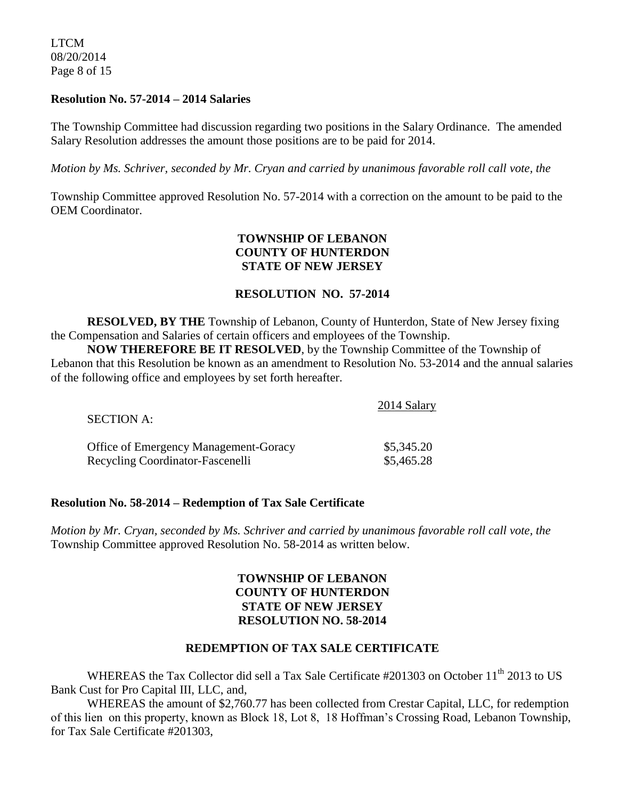LTCM 08/20/2014 Page 8 of 15

#### **Resolution No. 57-2014 – 2014 Salaries**

The Township Committee had discussion regarding two positions in the Salary Ordinance. The amended Salary Resolution addresses the amount those positions are to be paid for 2014.

*Motion by Ms. Schriver, seconded by Mr. Cryan and carried by unanimous favorable roll call vote, the*

Township Committee approved Resolution No. 57-2014 with a correction on the amount to be paid to the OEM Coordinator.

### **TOWNSHIP OF LEBANON COUNTY OF HUNTERDON STATE OF NEW JERSEY**

#### **RESOLUTION NO. 57-2014**

**RESOLVED, BY THE** Township of Lebanon, County of Hunterdon, State of New Jersey fixing the Compensation and Salaries of certain officers and employees of the Township.

**NOW THEREFORE BE IT RESOLVED**, by the Township Committee of the Township of Lebanon that this Resolution be known as an amendment to Resolution No. 53-2014 and the annual salaries of the following office and employees by set forth hereafter.

| <b>SECTION A:</b>                            | 2014 Salary |
|----------------------------------------------|-------------|
| <b>Office of Emergency Management-Goracy</b> | \$5,345.20  |
| Recycling Coordinator-Fascenelli             | \$5,465.28  |

#### **Resolution No. 58-2014 – Redemption of Tax Sale Certificate**

*Motion by Mr. Cryan, seconded by Ms. Schriver and carried by unanimous favorable roll call vote, the* Township Committee approved Resolution No. 58-2014 as written below.

### **TOWNSHIP OF LEBANON COUNTY OF HUNTERDON STATE OF NEW JERSEY RESOLUTION NO. 58-2014**

#### **REDEMPTION OF TAX SALE CERTIFICATE**

WHEREAS the Tax Collector did sell a Tax Sale Certificate #201303 on October 11<sup>th</sup> 2013 to US Bank Cust for Pro Capital III, LLC, and,

WHEREAS the amount of \$2,760.77 has been collected from Crestar Capital, LLC, for redemption of this lien on this property, known as Block 18, Lot 8, 18 Hoffman's Crossing Road, Lebanon Township, for Tax Sale Certificate #201303,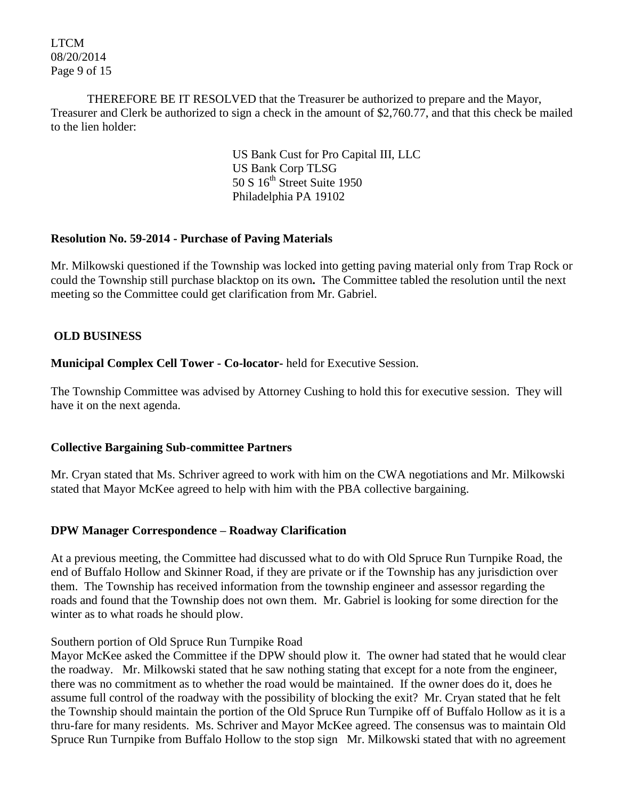LTCM 08/20/2014 Page 9 of 15

THEREFORE BE IT RESOLVED that the Treasurer be authorized to prepare and the Mayor, Treasurer and Clerk be authorized to sign a check in the amount of \$2,760.77, and that this check be mailed to the lien holder:

> US Bank Cust for Pro Capital III, LLC US Bank Corp TLSG  $50 S 16<sup>th</sup> Street Suite 1950$ Philadelphia PA 19102

### **Resolution No. 59-2014 - Purchase of Paving Materials**

Mr. Milkowski questioned if the Township was locked into getting paving material only from Trap Rock or could the Township still purchase blacktop on its own**.** The Committee tabled the resolution until the next meeting so the Committee could get clarification from Mr. Gabriel.

# **OLD BUSINESS**

**Municipal Complex Cell Tower - Co-locator-** held for Executive Session.

The Township Committee was advised by Attorney Cushing to hold this for executive session. They will have it on the next agenda.

# **Collective Bargaining Sub-committee Partners**

Mr. Cryan stated that Ms. Schriver agreed to work with him on the CWA negotiations and Mr. Milkowski stated that Mayor McKee agreed to help with him with the PBA collective bargaining.

# **DPW Manager Correspondence – Roadway Clarification**

At a previous meeting, the Committee had discussed what to do with Old Spruce Run Turnpike Road, the end of Buffalo Hollow and Skinner Road, if they are private or if the Township has any jurisdiction over them. The Township has received information from the township engineer and assessor regarding the roads and found that the Township does not own them. Mr. Gabriel is looking for some direction for the winter as to what roads he should plow.

#### Southern portion of Old Spruce Run Turnpike Road

Mayor McKee asked the Committee if the DPW should plow it. The owner had stated that he would clear the roadway. Mr. Milkowski stated that he saw nothing stating that except for a note from the engineer, there was no commitment as to whether the road would be maintained. If the owner does do it, does he assume full control of the roadway with the possibility of blocking the exit? Mr. Cryan stated that he felt the Township should maintain the portion of the Old Spruce Run Turnpike off of Buffalo Hollow as it is a thru-fare for many residents. Ms. Schriver and Mayor McKee agreed. The consensus was to maintain Old Spruce Run Turnpike from Buffalo Hollow to the stop sign Mr. Milkowski stated that with no agreement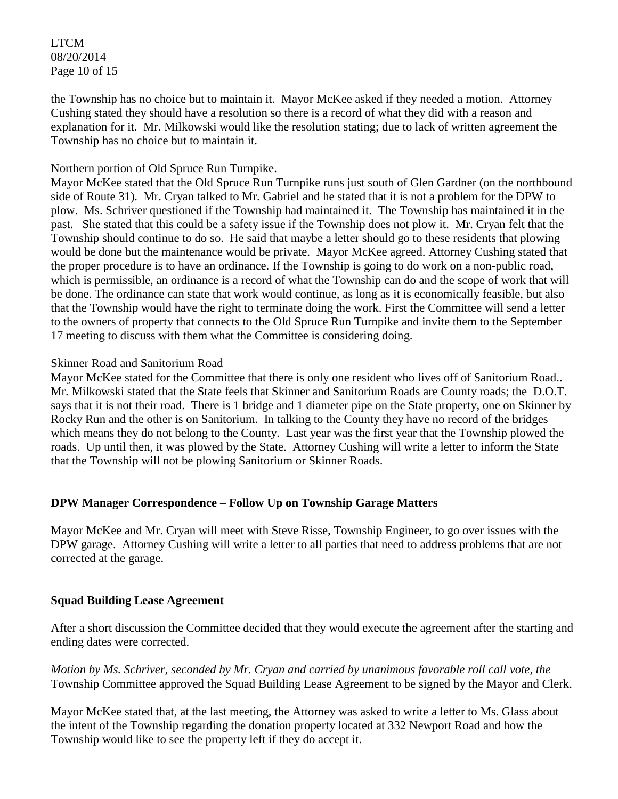LTCM 08/20/2014 Page 10 of 15

the Township has no choice but to maintain it. Mayor McKee asked if they needed a motion. Attorney Cushing stated they should have a resolution so there is a record of what they did with a reason and explanation for it. Mr. Milkowski would like the resolution stating; due to lack of written agreement the Township has no choice but to maintain it.

## Northern portion of Old Spruce Run Turnpike.

Mayor McKee stated that the Old Spruce Run Turnpike runs just south of Glen Gardner (on the northbound side of Route 31). Mr. Cryan talked to Mr. Gabriel and he stated that it is not a problem for the DPW to plow. Ms. Schriver questioned if the Township had maintained it. The Township has maintained it in the past. She stated that this could be a safety issue if the Township does not plow it. Mr. Cryan felt that the Township should continue to do so. He said that maybe a letter should go to these residents that plowing would be done but the maintenance would be private. Mayor McKee agreed. Attorney Cushing stated that the proper procedure is to have an ordinance. If the Township is going to do work on a non-public road, which is permissible, an ordinance is a record of what the Township can do and the scope of work that will be done. The ordinance can state that work would continue, as long as it is economically feasible, but also that the Township would have the right to terminate doing the work. First the Committee will send a letter to the owners of property that connects to the Old Spruce Run Turnpike and invite them to the September 17 meeting to discuss with them what the Committee is considering doing.

#### Skinner Road and Sanitorium Road

Mayor McKee stated for the Committee that there is only one resident who lives off of Sanitorium Road.. Mr. Milkowski stated that the State feels that Skinner and Sanitorium Roads are County roads; the D.O.T. says that it is not their road. There is 1 bridge and 1 diameter pipe on the State property, one on Skinner by Rocky Run and the other is on Sanitorium. In talking to the County they have no record of the bridges which means they do not belong to the County. Last year was the first year that the Township plowed the roads. Up until then, it was plowed by the State. Attorney Cushing will write a letter to inform the State that the Township will not be plowing Sanitorium or Skinner Roads.

# **DPW Manager Correspondence – Follow Up on Township Garage Matters**

Mayor McKee and Mr. Cryan will meet with Steve Risse, Township Engineer, to go over issues with the DPW garage. Attorney Cushing will write a letter to all parties that need to address problems that are not corrected at the garage.

#### **Squad Building Lease Agreement**

After a short discussion the Committee decided that they would execute the agreement after the starting and ending dates were corrected.

*Motion by Ms. Schriver, seconded by Mr. Cryan and carried by unanimous favorable roll call vote, the* Township Committee approved the Squad Building Lease Agreement to be signed by the Mayor and Clerk.

Mayor McKee stated that, at the last meeting, the Attorney was asked to write a letter to Ms. Glass about the intent of the Township regarding the donation property located at 332 Newport Road and how the Township would like to see the property left if they do accept it.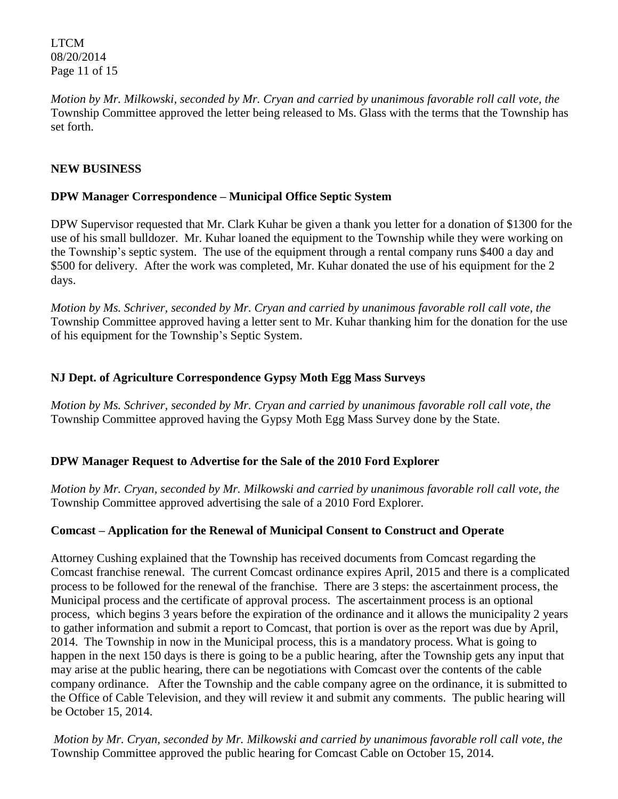LTCM 08/20/2014 Page 11 of 15

*Motion by Mr. Milkowski, seconded by Mr. Cryan and carried by unanimous favorable roll call vote, the* Township Committee approved the letter being released to Ms. Glass with the terms that the Township has set forth.

## **NEW BUSINESS**

## **DPW Manager Correspondence – Municipal Office Septic System**

DPW Supervisor requested that Mr. Clark Kuhar be given a thank you letter for a donation of \$1300 for the use of his small bulldozer. Mr. Kuhar loaned the equipment to the Township while they were working on the Township's septic system. The use of the equipment through a rental company runs \$400 a day and \$500 for delivery. After the work was completed, Mr. Kuhar donated the use of his equipment for the 2 days.

*Motion by Ms. Schriver, seconded by Mr. Cryan and carried by unanimous favorable roll call vote, the* Township Committee approved having a letter sent to Mr. Kuhar thanking him for the donation for the use of his equipment for the Township's Septic System.

### **NJ Dept. of Agriculture Correspondence Gypsy Moth Egg Mass Surveys**

*Motion by Ms. Schriver, seconded by Mr. Cryan and carried by unanimous favorable roll call vote, the* Township Committee approved having the Gypsy Moth Egg Mass Survey done by the State.

#### **DPW Manager Request to Advertise for the Sale of the 2010 Ford Explorer**

*Motion by Mr. Cryan, seconded by Mr. Milkowski and carried by unanimous favorable roll call vote, the* Township Committee approved advertising the sale of a 2010 Ford Explorer.

#### **Comcast – Application for the Renewal of Municipal Consent to Construct and Operate**

Attorney Cushing explained that the Township has received documents from Comcast regarding the Comcast franchise renewal. The current Comcast ordinance expires April, 2015 and there is a complicated process to be followed for the renewal of the franchise. There are 3 steps: the ascertainment process, the Municipal process and the certificate of approval process. The ascertainment process is an optional process, which begins 3 years before the expiration of the ordinance and it allows the municipality 2 years to gather information and submit a report to Comcast, that portion is over as the report was due by April, 2014. The Township in now in the Municipal process, this is a mandatory process. What is going to happen in the next 150 days is there is going to be a public hearing, after the Township gets any input that may arise at the public hearing, there can be negotiations with Comcast over the contents of the cable company ordinance. After the Township and the cable company agree on the ordinance, it is submitted to the Office of Cable Television, and they will review it and submit any comments. The public hearing will be October 15, 2014.

*Motion by Mr. Cryan, seconded by Mr. Milkowski and carried by unanimous favorable roll call vote, the* Township Committee approved the public hearing for Comcast Cable on October 15, 2014.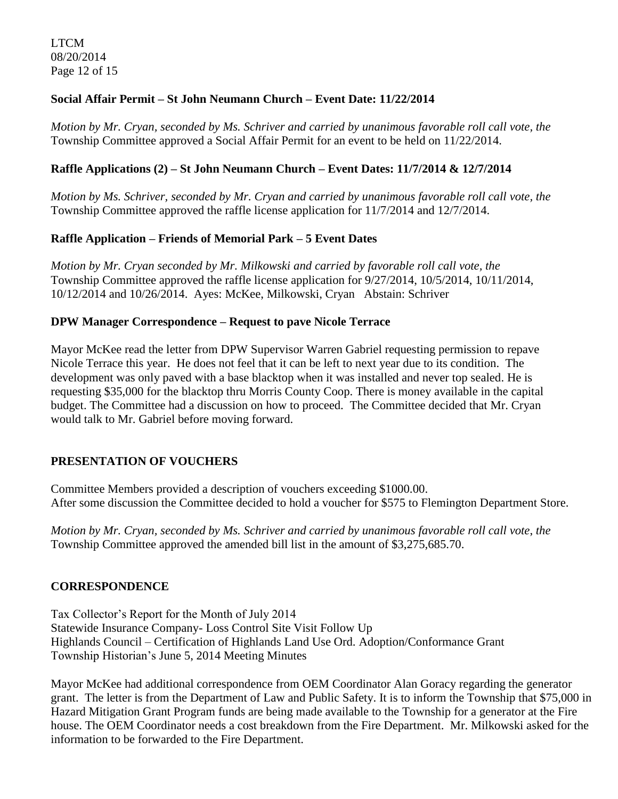LTCM 08/20/2014 Page 12 of 15

# **Social Affair Permit – St John Neumann Church – Event Date: 11/22/2014**

*Motion by Mr. Cryan, seconded by Ms. Schriver and carried by unanimous favorable roll call vote, the* Township Committee approved a Social Affair Permit for an event to be held on 11/22/2014.

# **Raffle Applications (2) – St John Neumann Church – Event Dates: 11/7/2014 & 12/7/2014**

*Motion by Ms. Schriver, seconded by Mr. Cryan and carried by unanimous favorable roll call vote, the* Township Committee approved the raffle license application for 11/7/2014 and 12/7/2014.

# **Raffle Application – Friends of Memorial Park – 5 Event Dates**

*Motion by Mr. Cryan seconded by Mr. Milkowski and carried by favorable roll call vote, the* Township Committee approved the raffle license application for 9/27/2014, 10/5/2014, 10/11/2014, 10/12/2014 and 10/26/2014. Ayes: McKee, Milkowski, Cryan Abstain: Schriver

# **DPW Manager Correspondence – Request to pave Nicole Terrace**

Mayor McKee read the letter from DPW Supervisor Warren Gabriel requesting permission to repave Nicole Terrace this year. He does not feel that it can be left to next year due to its condition. The development was only paved with a base blacktop when it was installed and never top sealed. He is requesting \$35,000 for the blacktop thru Morris County Coop. There is money available in the capital budget. The Committee had a discussion on how to proceed. The Committee decided that Mr. Cryan would talk to Mr. Gabriel before moving forward.

# **PRESENTATION OF VOUCHERS**

Committee Members provided a description of vouchers exceeding \$1000.00. After some discussion the Committee decided to hold a voucher for \$575 to Flemington Department Store.

*Motion by Mr. Cryan, seconded by Ms. Schriver and carried by unanimous favorable roll call vote*, *the*  Township Committee approved the amended bill list in the amount of \$3,275,685.70.

# **CORRESPONDENCE**

Tax Collector's Report for the Month of July 2014 Statewide Insurance Company- Loss Control Site Visit Follow Up Highlands Council – Certification of Highlands Land Use Ord. Adoption/Conformance Grant Township Historian's June 5, 2014 Meeting Minutes

Mayor McKee had additional correspondence from OEM Coordinator Alan Goracy regarding the generator grant. The letter is from the Department of Law and Public Safety. It is to inform the Township that \$75,000 in Hazard Mitigation Grant Program funds are being made available to the Township for a generator at the Fire house. The OEM Coordinator needs a cost breakdown from the Fire Department. Mr. Milkowski asked for the information to be forwarded to the Fire Department.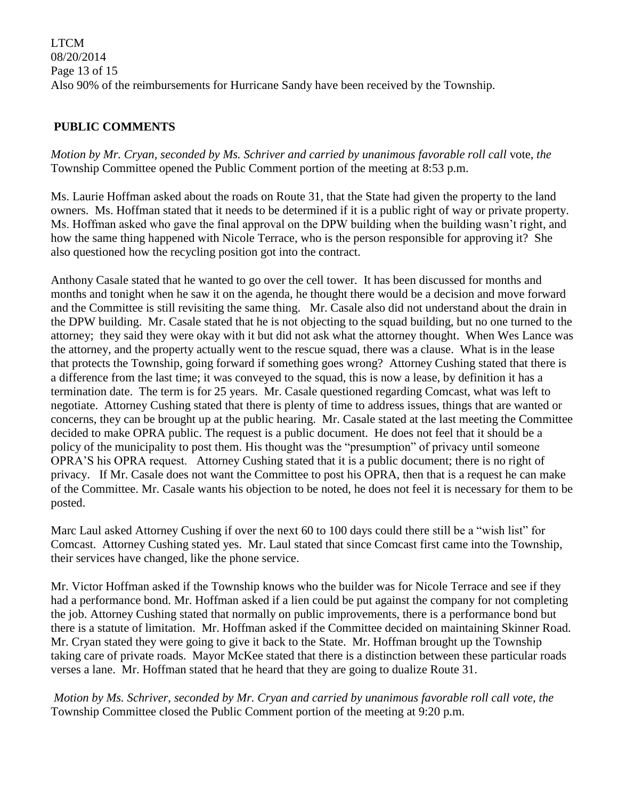LTCM 08/20/2014 Page 13 of 15 Also 90% of the reimbursements for Hurricane Sandy have been received by the Township.

# **PUBLIC COMMENTS**

*Motion by Mr. Cryan, seconded by Ms. Schriver and carried by unanimous favorable roll call* vote, *the*  Township Committee opened the Public Comment portion of the meeting at 8:53 p.m.

Ms. Laurie Hoffman asked about the roads on Route 31, that the State had given the property to the land owners. Ms. Hoffman stated that it needs to be determined if it is a public right of way or private property. Ms. Hoffman asked who gave the final approval on the DPW building when the building wasn't right, and how the same thing happened with Nicole Terrace, who is the person responsible for approving it? She also questioned how the recycling position got into the contract.

Anthony Casale stated that he wanted to go over the cell tower. It has been discussed for months and months and tonight when he saw it on the agenda, he thought there would be a decision and move forward and the Committee is still revisiting the same thing. Mr. Casale also did not understand about the drain in the DPW building. Mr. Casale stated that he is not objecting to the squad building, but no one turned to the attorney; they said they were okay with it but did not ask what the attorney thought. When Wes Lance was the attorney, and the property actually went to the rescue squad, there was a clause. What is in the lease that protects the Township, going forward if something goes wrong? Attorney Cushing stated that there is a difference from the last time; it was conveyed to the squad, this is now a lease, by definition it has a termination date. The term is for 25 years. Mr. Casale questioned regarding Comcast, what was left to negotiate. Attorney Cushing stated that there is plenty of time to address issues, things that are wanted or concerns, they can be brought up at the public hearing. Mr. Casale stated at the last meeting the Committee decided to make OPRA public. The request is a public document. He does not feel that it should be a policy of the municipality to post them. His thought was the "presumption" of privacy until someone OPRA'S his OPRA request. Attorney Cushing stated that it is a public document; there is no right of privacy. If Mr. Casale does not want the Committee to post his OPRA, then that is a request he can make of the Committee. Mr. Casale wants his objection to be noted, he does not feel it is necessary for them to be posted.

Marc Laul asked Attorney Cushing if over the next 60 to 100 days could there still be a "wish list" for Comcast. Attorney Cushing stated yes. Mr. Laul stated that since Comcast first came into the Township, their services have changed, like the phone service.

Mr. Victor Hoffman asked if the Township knows who the builder was for Nicole Terrace and see if they had a performance bond. Mr. Hoffman asked if a lien could be put against the company for not completing the job. Attorney Cushing stated that normally on public improvements, there is a performance bond but there is a statute of limitation. Mr. Hoffman asked if the Committee decided on maintaining Skinner Road. Mr. Cryan stated they were going to give it back to the State. Mr. Hoffman brought up the Township taking care of private roads. Mayor McKee stated that there is a distinction between these particular roads verses a lane. Mr. Hoffman stated that he heard that they are going to dualize Route 31.

*Motion by Ms. Schriver, seconded by Mr. Cryan and carried by unanimous favorable roll call vote*, *the*  Township Committee closed the Public Comment portion of the meeting at 9:20 p.m.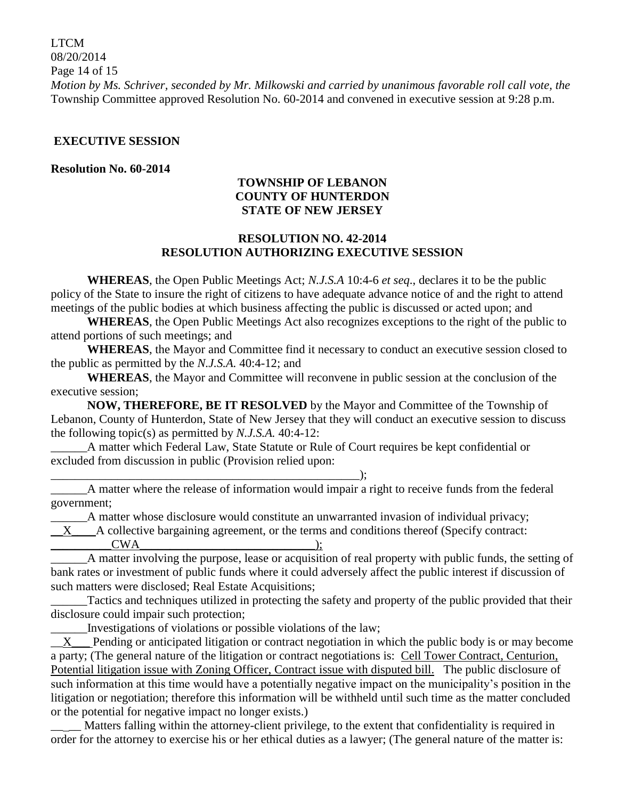LTCM 08/20/2014 Page 14 of 15 *Motion by Ms. Schriver, seconded by Mr. Milkowski and carried by unanimous favorable roll call vote, the* Township Committee approved Resolution No. 60-2014 and convened in executive session at 9:28 p.m.

#### **EXECUTIVE SESSION**

#### **Resolution No. 60-2014**

### **TOWNSHIP OF LEBANON COUNTY OF HUNTERDON STATE OF NEW JERSEY**

### **RESOLUTION NO. 42-2014 RESOLUTION AUTHORIZING EXECUTIVE SESSION**

**WHEREAS**, the Open Public Meetings Act; *N.J.S.A* 10:4-6 *et seq*., declares it to be the public policy of the State to insure the right of citizens to have adequate advance notice of and the right to attend meetings of the public bodies at which business affecting the public is discussed or acted upon; and

**WHEREAS**, the Open Public Meetings Act also recognizes exceptions to the right of the public to attend portions of such meetings; and

**WHEREAS**, the Mayor and Committee find it necessary to conduct an executive session closed to the public as permitted by the *N.J.S.A.* 40:4-12; and

**WHEREAS**, the Mayor and Committee will reconvene in public session at the conclusion of the executive session;

**NOW, THEREFORE, BE IT RESOLVED** by the Mayor and Committee of the Township of Lebanon, County of Hunterdon, State of New Jersey that they will conduct an executive session to discuss the following topic(s) as permitted by *N.J.S.A.* 40:4-12:

A matter which Federal Law, State Statute or Rule of Court requires be kept confidential or excluded from discussion in public (Provision relied upon:

\_\_\_\_\_\_A matter where the release of information would impair a right to receive funds from the federal government;

A matter whose disclosure would constitute an unwarranted invasion of individual privacy;  $X$  A collective bargaining agreement, or the terms and conditions thereof (Specify contract:  $CWA$  );

\_\_\_\_\_\_A matter involving the purpose, lease or acquisition of real property with public funds, the setting of bank rates or investment of public funds where it could adversely affect the public interest if discussion of such matters were disclosed; Real Estate Acquisitions;

Tactics and techniques utilized in protecting the safety and property of the public provided that their disclosure could impair such protection;

\_\_\_\_\_\_Investigations of violations or possible violations of the law;

\_\_\_\_\_\_\_\_\_\_\_\_\_\_\_\_\_\_\_\_\_\_\_\_\_\_\_\_\_\_\_\_\_\_\_\_\_\_\_\_\_\_\_\_\_\_\_\_\_\_\_);

 $\underline{X}$  Pending or anticipated litigation or contract negotiation in which the public body is or may become a party; (The general nature of the litigation or contract negotiations is: Cell Tower Contract, Centurion, Potential litigation issue with Zoning Officer, Contract issue with disputed bill. The public disclosure of such information at this time would have a potentially negative impact on the municipality's position in the litigation or negotiation; therefore this information will be withheld until such time as the matter concluded or the potential for negative impact no longer exists.)

Matters falling within the attorney-client privilege, to the extent that confidentiality is required in order for the attorney to exercise his or her ethical duties as a lawyer; (The general nature of the matter is: